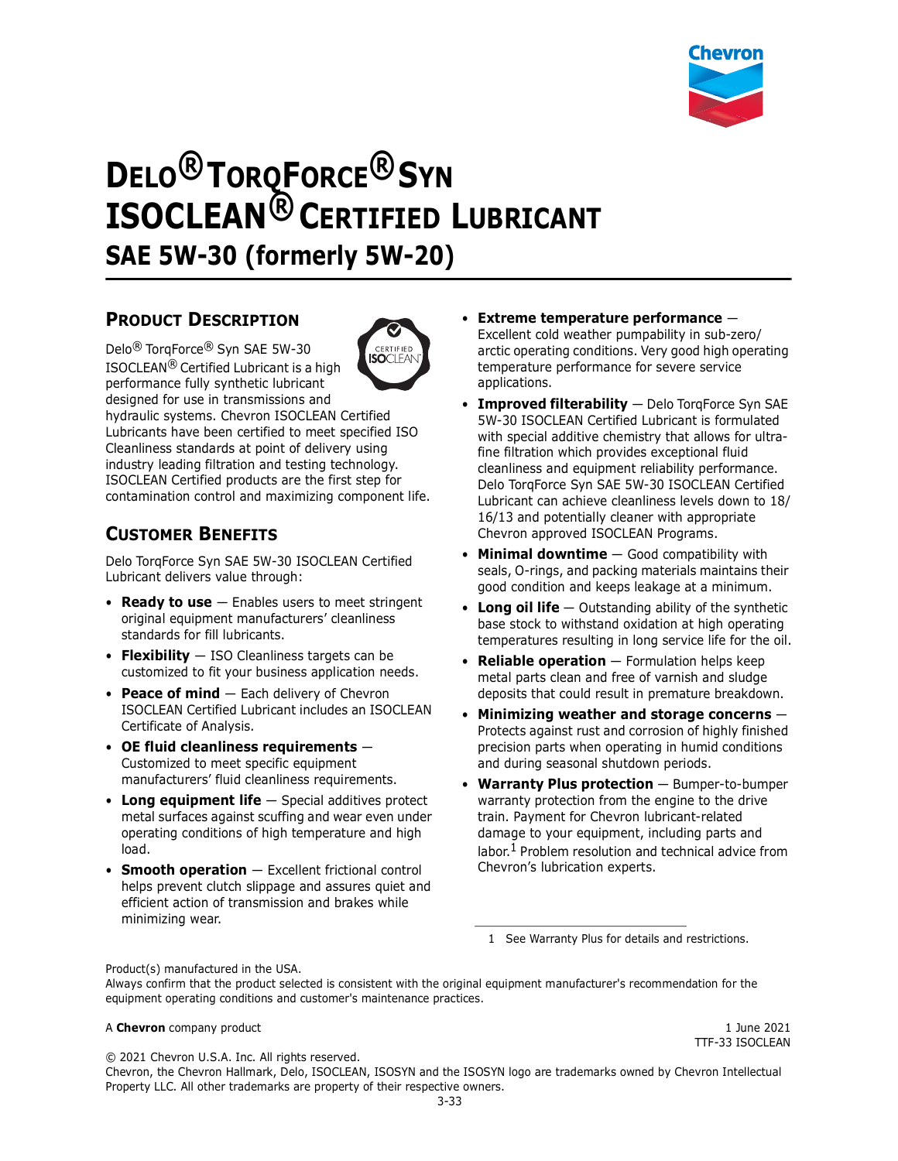

# **DELO® TORQFORCE® SYN ISOCLEAN® CERTIFIED LUBRICANT SAE 5W-30 (formerly 5W-20)**

# **PRODUCT DESCRIPTION**

Delo® TorqForce® Syn SAE 5W-30 ISOCLEAN® Certified Lubricant is a high performance fully synthetic lubricant



designed for use in transmissions and hydraulic systems. Chevron ISOCLEAN Certified Lubricants have been certified to meet specified ISO Cleanliness standards at point of delivery using

industry leading filtration and testing technology. ISOCLEAN Certified products are the first step for contamination control and maximizing component life.

# **CUSTOMER BENEFITS**

Delo TorqForce Syn SAE 5W-30 ISOCLEAN Certified Lubricant delivers value through:

- **Ready to use** Enables users to meet stringent original equipment manufacturers' cleanliness standards for fill lubricants.
- **Flexibility** ISO Cleanliness targets can be customized to fit your business application needs.
- **Peace of mind** Each delivery of Chevron ISOCLEAN Certified Lubricant includes an ISOCLEAN Certificate of Analysis.
- **OE fluid cleanliness requirements** Customized to meet specific equipment manufacturers' fluid cleanliness requirements.
- **Long equipment life** Special additives protect metal surfaces against scuffing and wear even under operating conditions of high temperature and high load.
- **Smooth operation** Excellent frictional control helps prevent clutch slippage and assures quiet and efficient action of transmission and brakes while minimizing wear.
- **Extreme temperature performance** Excellent cold weather pumpability in sub-zero/ arctic operating conditions. Very good high operating temperature performance for severe service applications.
- **Improved filterability** Delo TorqForce Syn SAE 5W-30 ISOCLEAN Certified Lubricant is formulated with special additive chemistry that allows for ultrafine filtration which provides exceptional fluid cleanliness and equipment reliability performance. Delo TorqForce Syn SAE 5W-30 ISOCLEAN Certified Lubricant can achieve cleanliness levels down to 18/ 16/13 and potentially cleaner with appropriate Chevron approved ISOCLEAN Programs.
- **Minimal downtime** Good compatibility with seals, O-rings, and packing materials maintains their good condition and keeps leakage at a minimum.
- **Long oil life** Outstanding ability of the synthetic base stock to withstand oxidation at high operating temperatures resulting in long service life for the oil.
- **Reliable operation** Formulation helps keep metal parts clean and free of varnish and sludge deposits that could result in premature breakdown.
- **Minimizing weather and storage concerns** Protects against rust and corrosion of highly finished precision parts when operating in humid conditions and during seasonal shutdown periods.
- **Warranty Plus protection** Bumper-to-bumper warranty protection from the engine to the drive train. Payment for Chevron lubricant-related damage to your equipment, including parts and labor.<sup>1</sup> Problem resolution and technical advice from Chevron's lubrication experts.

1 See Warranty Plus for details and restrictions.

Product(s) manufactured in the USA.

Always confirm that the product selected is consistent with the original equipment manufacturer's recommendation for the equipment operating conditions and customer's maintenance practices.

### A **Chevron** company product **1** June 2021

© 2021 Chevron U.S.A. Inc. All rights reserved.

TTF-33 ISOCLEAN

Chevron, the Chevron Hallmark, Delo, ISOCLEAN, ISOSYN and the ISOSYN logo are trademarks owned by Chevron Intellectual Property LLC. All other trademarks are property of their respective owners.